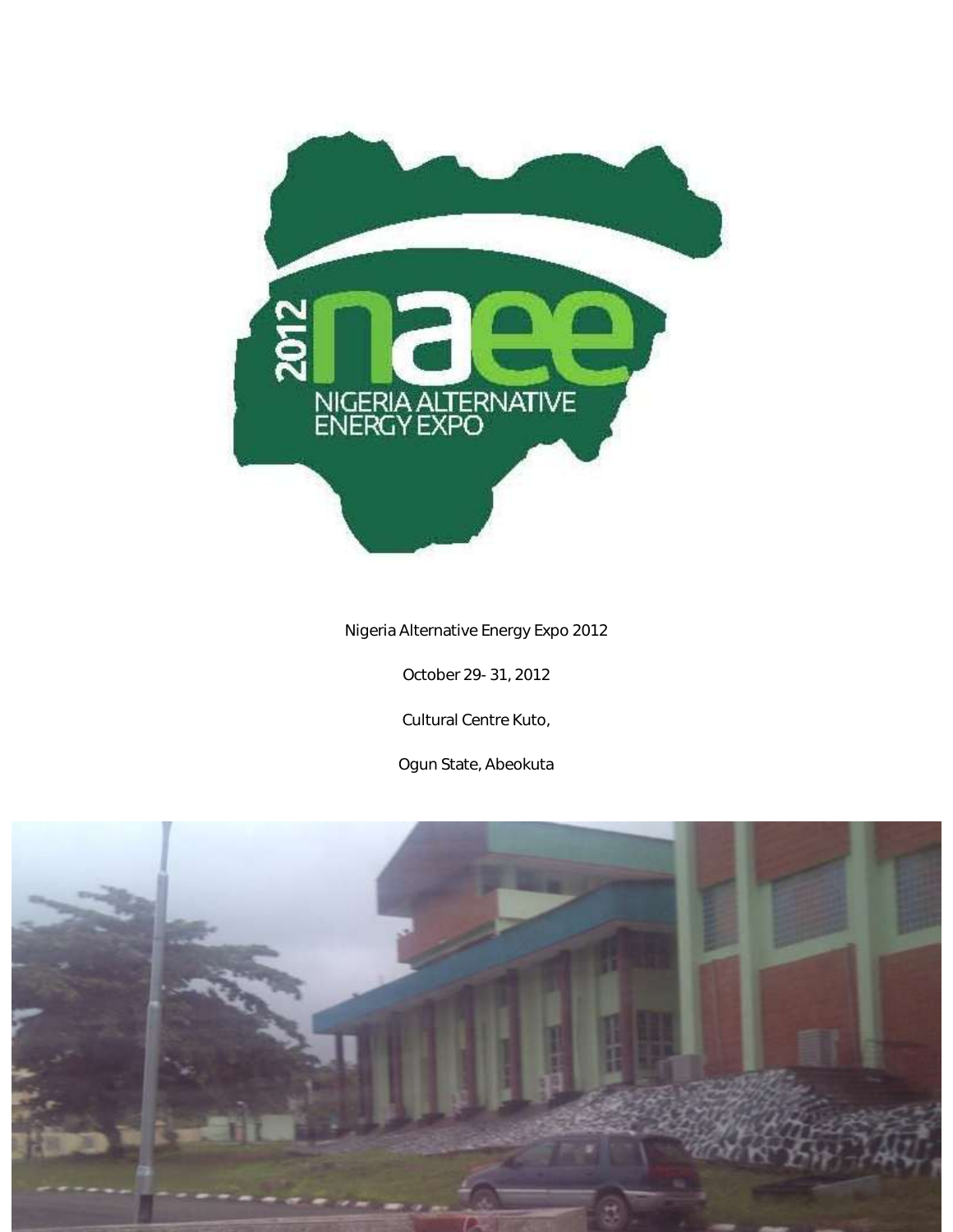

# Nigeria Alternative Energy Expo 2012

October 29- 31, 2012

Cultural Centre Kuto,

Ogun State, Abeokuta

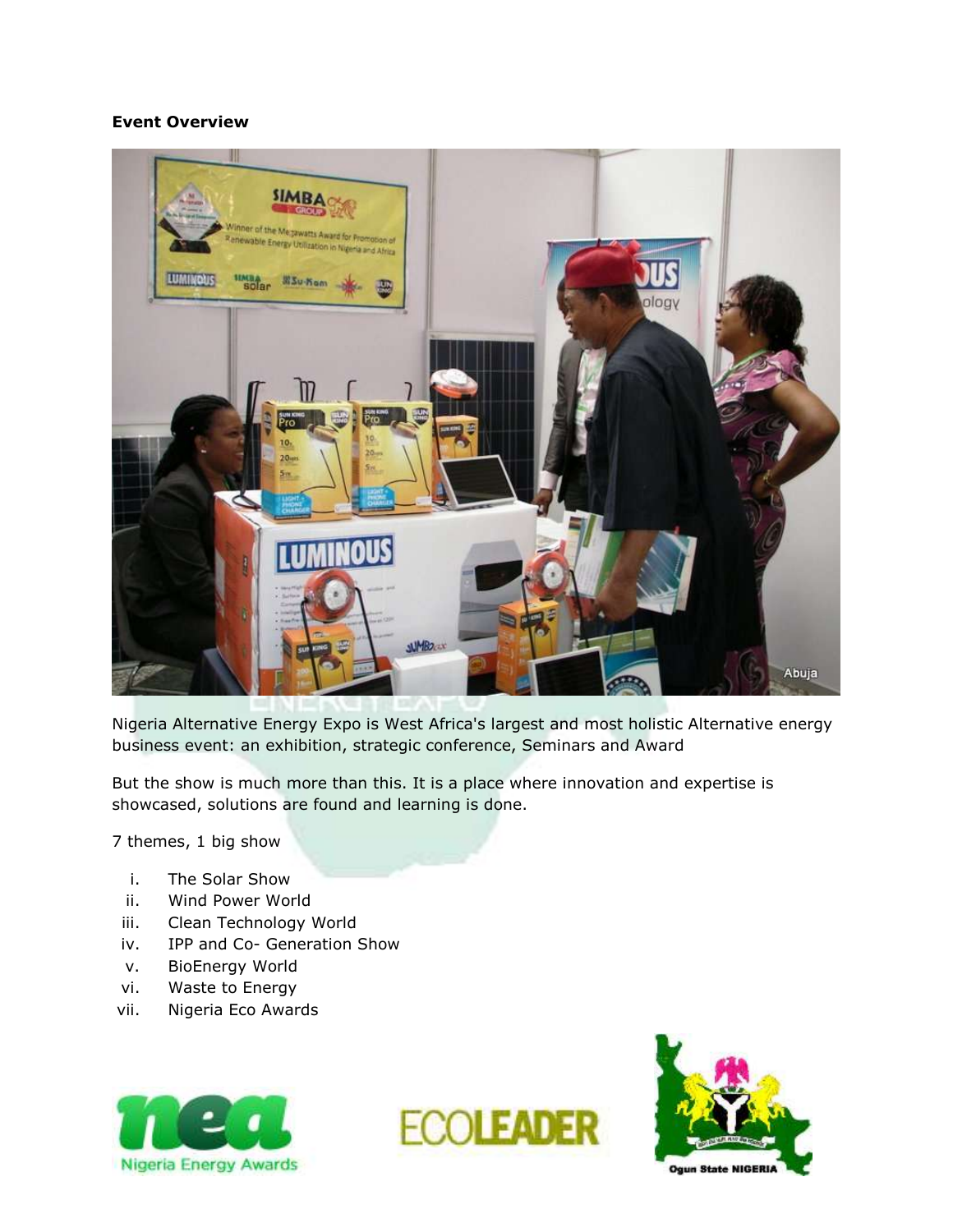#### **Event Overview**



Nigeria Alternative Energy Expo is West Africa's largest and most holistic Alternative energy business event: an exhibition, strategic conference, Seminars and Award

But the show is much more than this. It is a place where innovation and expertise is showcased, solutions are found and learning is done.

7 themes, 1 big show

- i. The Solar Show
- ii. Wind Power World
- iii. Clean Technology World
- iv. IPP and Co- Generation Show
- v. BioEnergy World
- vi. Waste to Energy
- vii. Nigeria Eco Awards





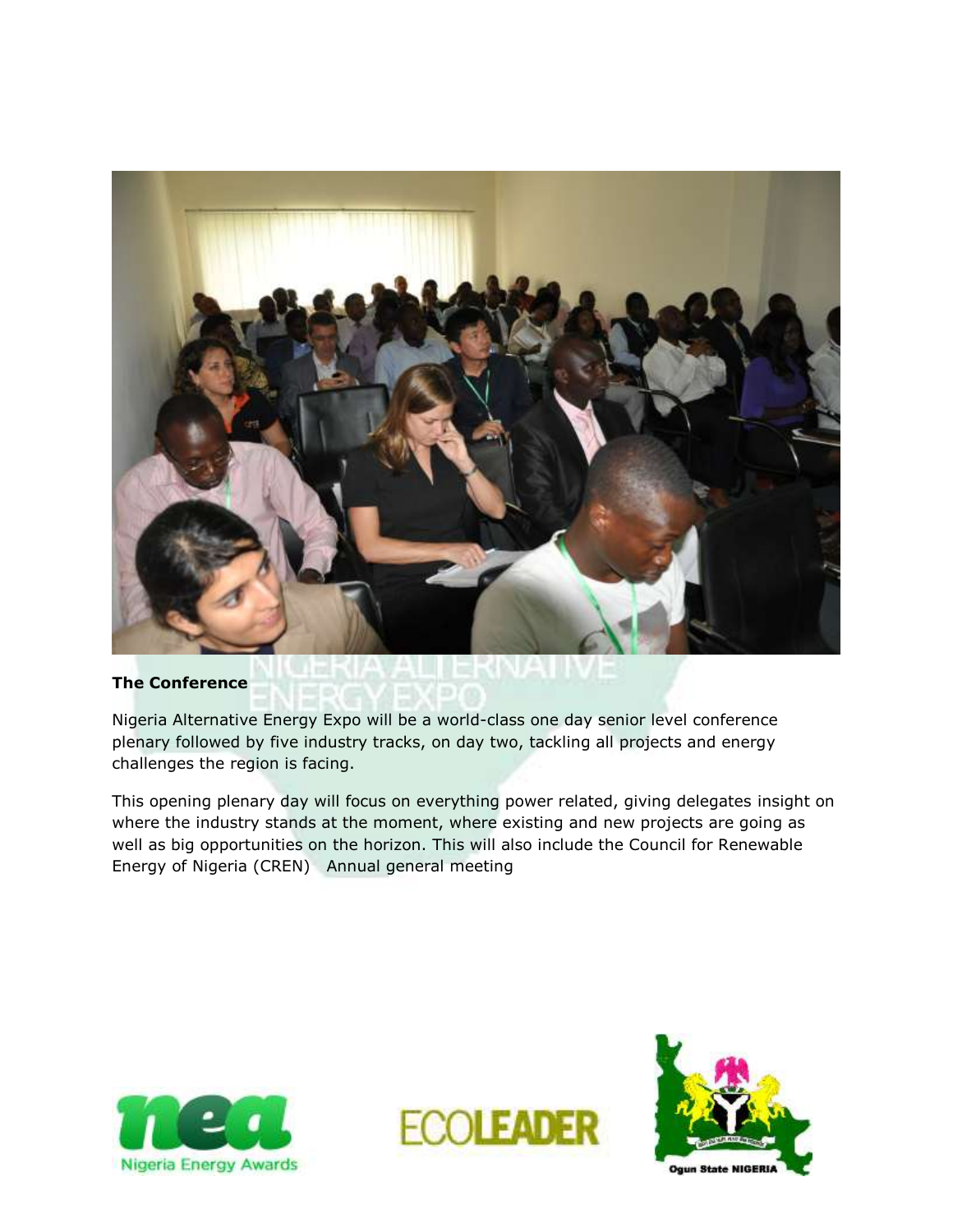

#### **The Conference**

Nigeria Alternative Energy Expo will be a world-class one day senior level conference plenary followed by five industry tracks, on day two, tackling all projects and energy challenges the region is facing.

This opening plenary day will focus on everything power related, giving delegates insight on where the industry stands at the moment, where existing and new projects are going as well as big opportunities on the horizon. This will also include the Council for Renewable Energy of Nigeria (CREN) Annual general meeting





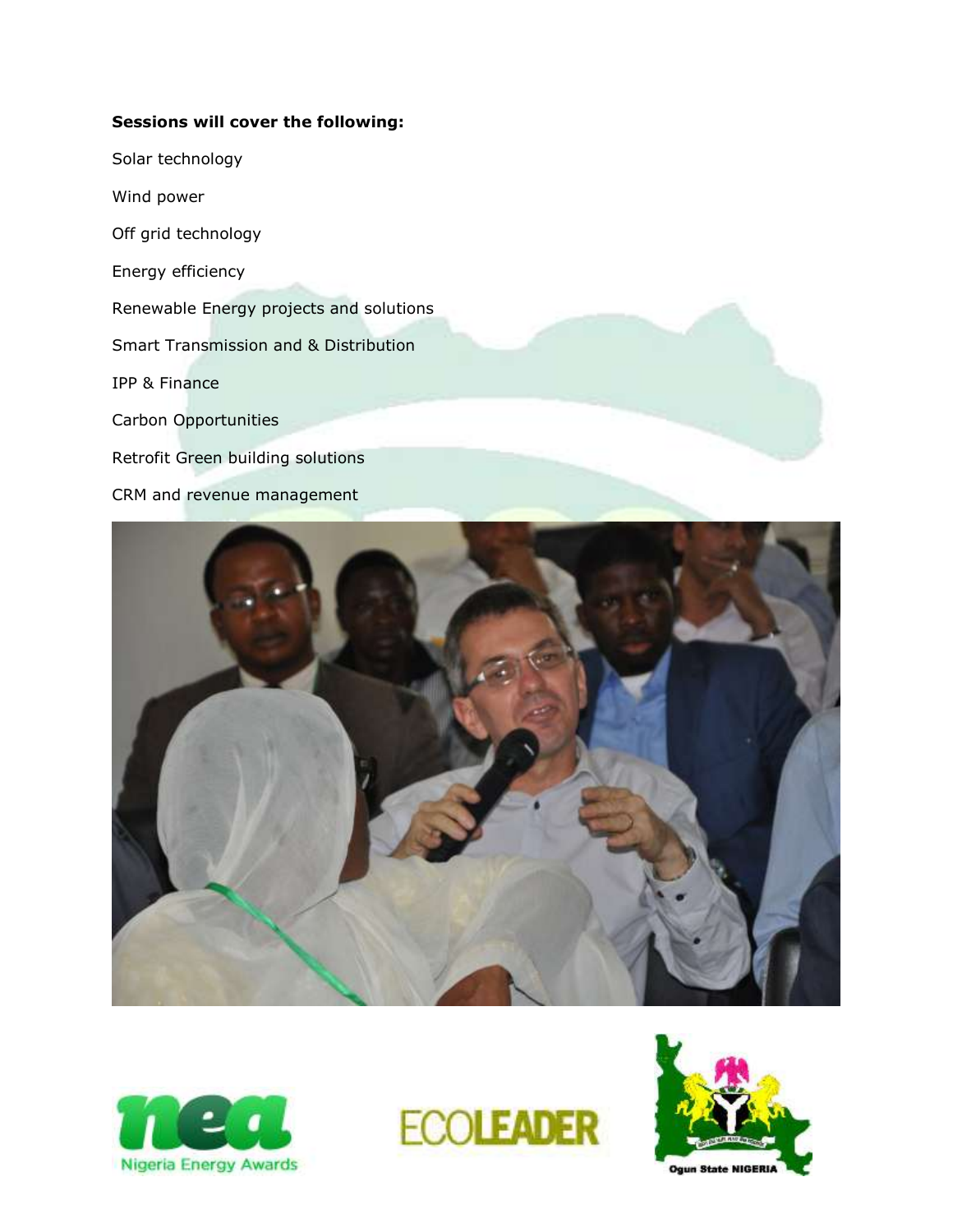# **Sessions will cover the following:**

Solar technology

Wind power

Off grid technology

Energy efficiency

Renewable Energy projects and solutions

Smart Transmission and & Distribution

IPP & Finance

Carbon Opportunities

Retrofit Green building solutions

CRM and revenue management







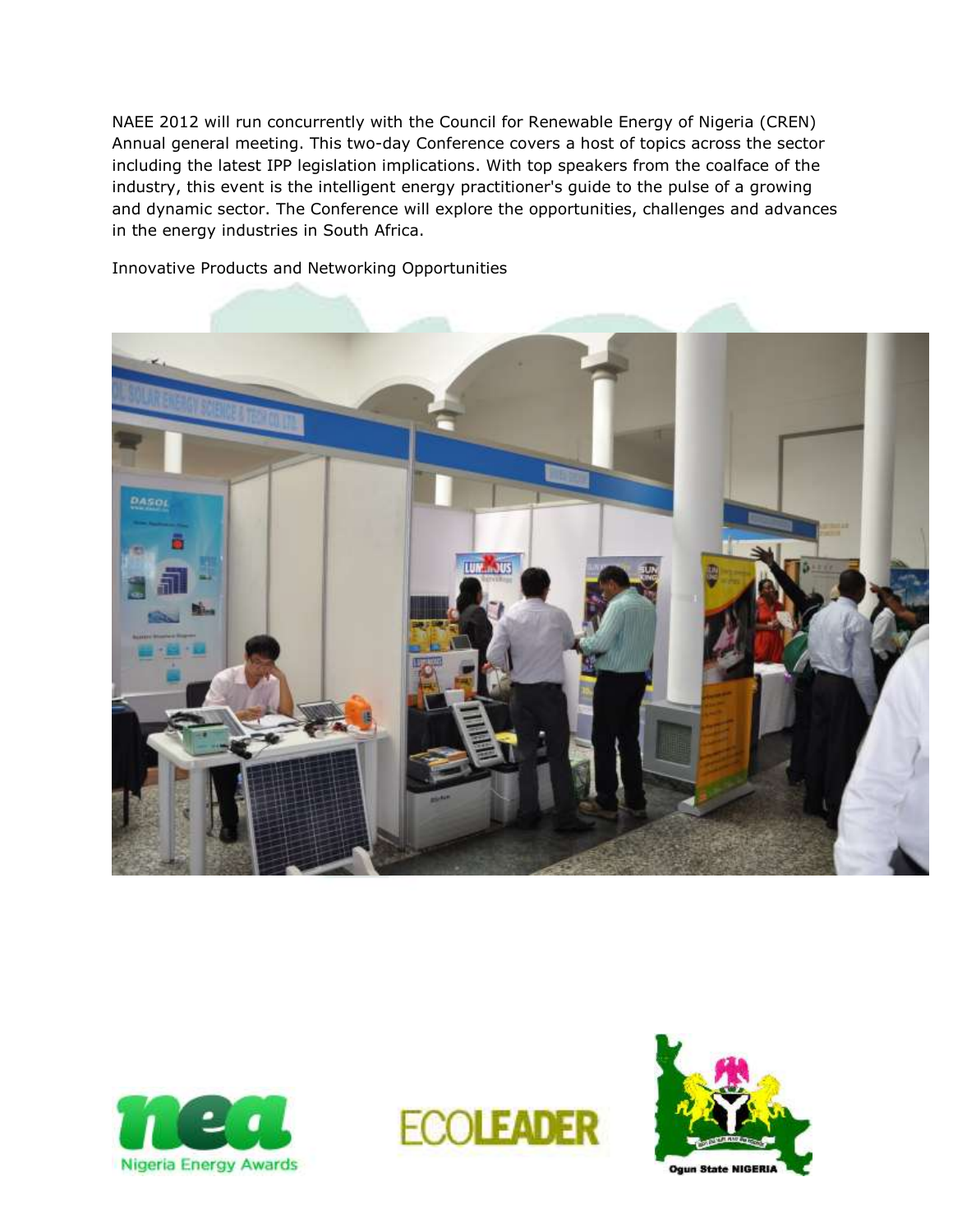NAEE 2012 will run concurrently with the Council for Renewable Energy of Nigeria (CREN) Annual general meeting. This two-day Conference covers a host of topics across the sector including the latest IPP legislation implications. With top speakers from the coalface of the industry, this event is the intelligent energy practitioner's guide to the pulse of a growing and dynamic sector. The Conference will explore the opportunities, challenges and advances in the energy industries in South Africa.









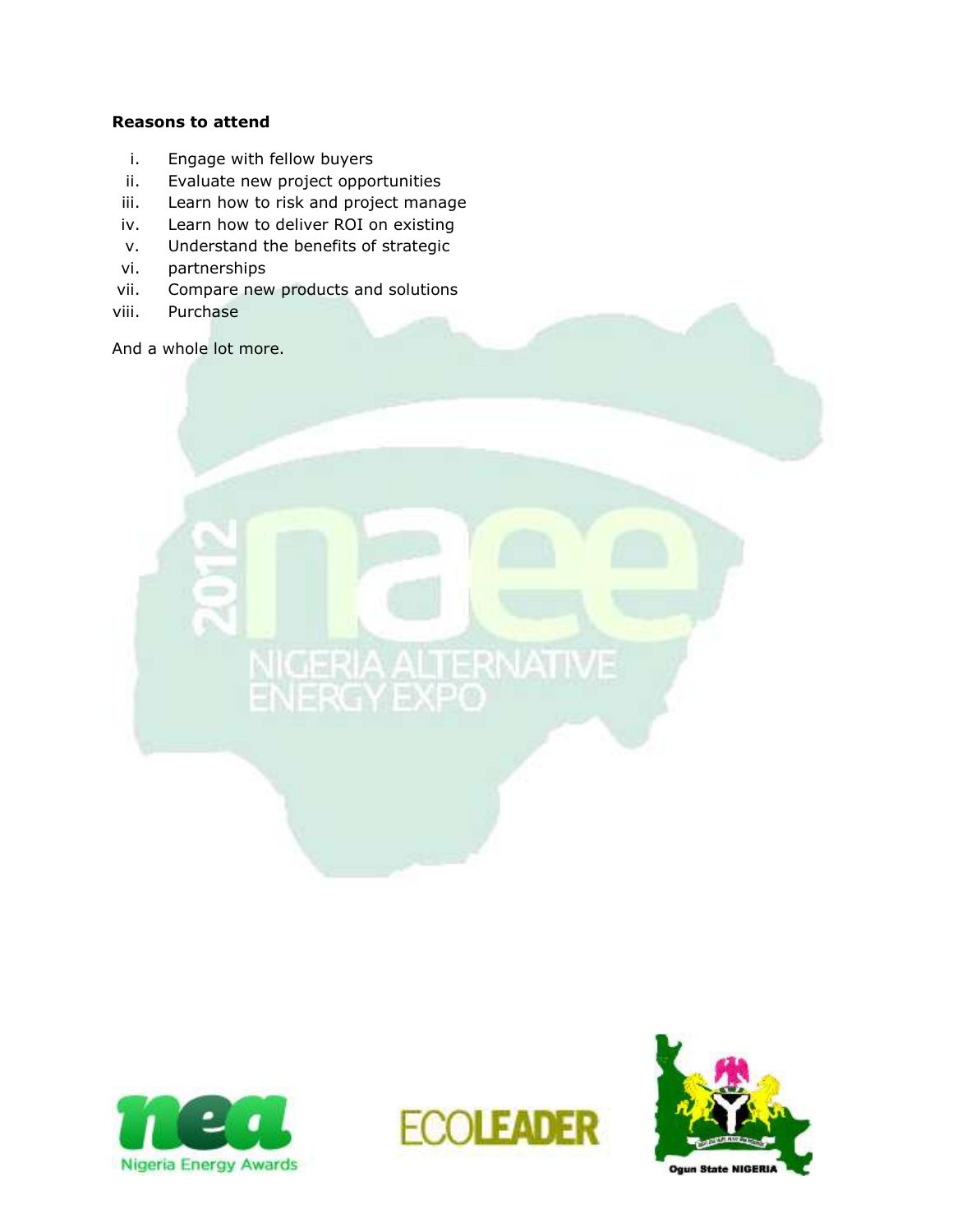# **Reasons to attend**

- i. Engage with fellow buyers
- ii. Evaluate new project opportunities
- iii. Learn how to risk and project manage
- iv. Learn how to deliver ROI on existing
- v. Understand the benefits of strategic
- vi. partnerships
- vii. Compare new products and solutions
- viii. Purchase

And a whole lot more.





NIGERIA ALTERNATIVE

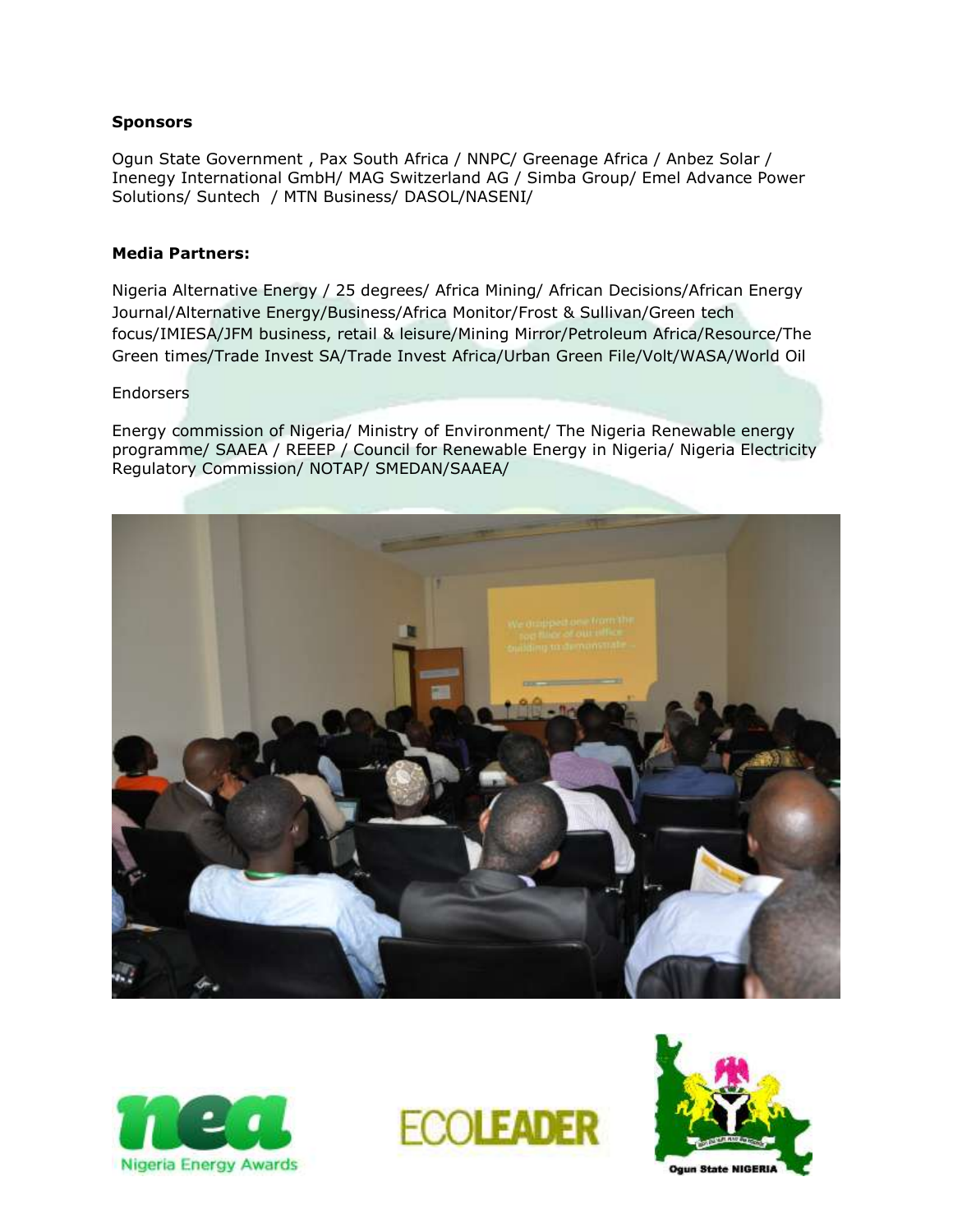#### **Sponsors**

Ogun State Government , Pax South Africa / NNPC/ Greenage Africa / Anbez Solar / Inenegy International GmbH/ MAG Switzerland AG / Simba Group/ Emel Advance Power Solutions/ Suntech / MTN Business/ DASOL/NASENI/

#### **Media Partners:**

Nigeria Alternative Energy / 25 degrees/ Africa Mining/ African Decisions/African Energy Journal/Alternative Energy/Business/Africa Monitor/Frost & Sullivan/Green tech focus/IMIESA/JFM business, retail & leisure/Mining Mirror/Petroleum Africa/Resource/The Green times/Trade Invest SA/Trade Invest Africa/Urban Green File/Volt/WASA/World Oil

#### **Endorsers**

Energy commission of Nigeria/ Ministry of Environment/ The Nigeria Renewable energy programme/ SAAEA / REEEP / Council for Renewable Energy in Nigeria/ Nigeria Electricity Regulatory Commission/ NOTAP/ SMEDAN/SAAEA/







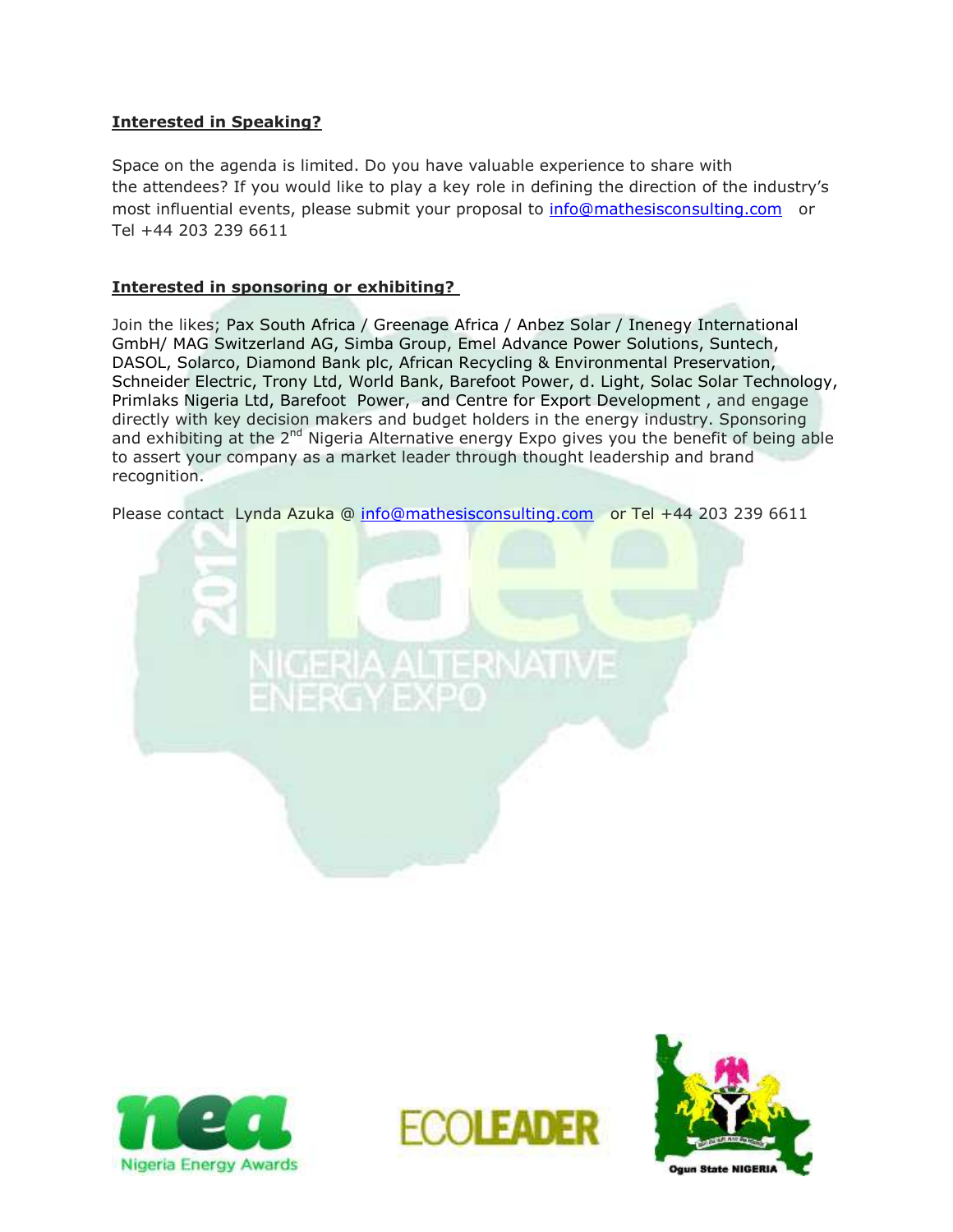# **Interested in Speaking?**

Space on the agenda is limited. Do you have valuable experience to share with the attendees? If you would like to play a key role in defining the direction of the industry's most influential events, please submit your proposal to [info@mathesisconsulting.com](mailto:info@mathesisconsulting.com) or Tel +44 203 239 6611

### **Interested in sponsoring or exhibiting?**

Join the likes; Pax South Africa / Greenage Africa / Anbez Solar / Inenegy International GmbH/ MAG Switzerland AG, Simba Group, Emel Advance Power Solutions, Suntech, DASOL, Solarco, Diamond Bank plc, African Recycling & Environmental Preservation, Schneider Electric, Trony Ltd, World Bank, Barefoot Power, d. Light, Solac Solar Technology, Primlaks Nigeria Ltd, Barefoot Power, and Centre for Export Development , and engage directly with key decision makers and budget holders in the energy industry. Sponsoring and exhibiting at the 2<sup>nd</sup> Nigeria Alternative energy Expo gives you the benefit of being able to assert your company as a market leader through thought leadership and brand recognition.

Please contact Lynda Azuka @ [info@mathesisconsulting.com](mailto:info@mathesisconsulting.com) or Tel +44 203 239 6611